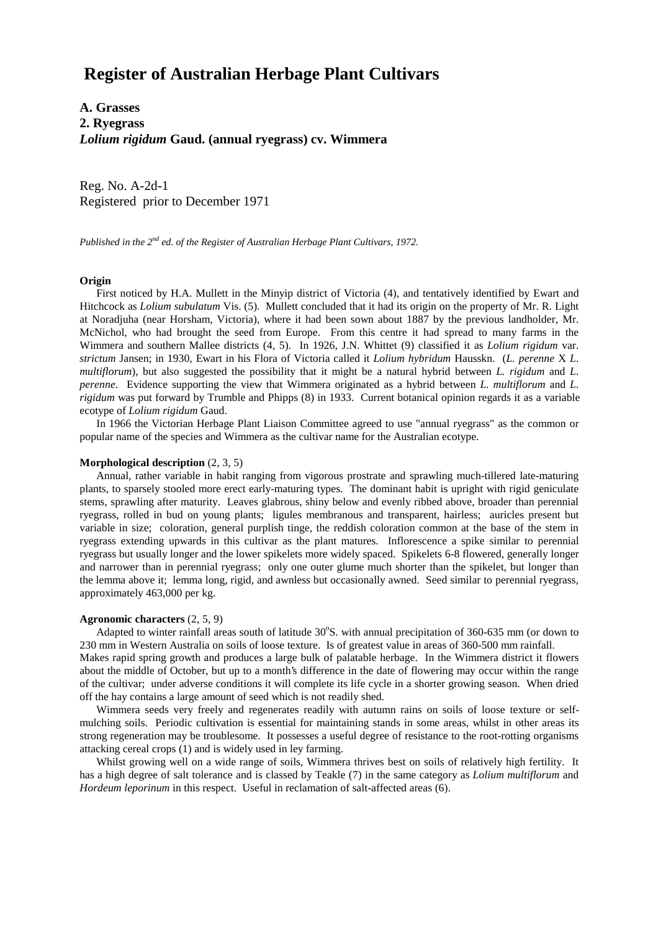# **Register of Australian Herbage Plant Cultivars**

**A. Grasses 2. Ryegrass** *Lolium rigidum* **Gaud. (annual ryegrass) cv. Wimmera**

Reg. No. A-2d-1 Registered prior to December 1971

*Published in the 2nd ed. of the Register of Australian Herbage Plant Cultivars, 1972.*

### **Origin**

 First noticed by H.A. Mullett in the Minyip district of Victoria (4), and tentatively identified by Ewart and Hitchcock as *Lolium subulatum* Vis. (5). Mullett concluded that it had its origin on the property of Mr. R. Light at Noradjuha (near Horsham, Victoria), where it had been sown about 1887 by the previous landholder, Mr. McNichol, who had brought the seed from Europe. From this centre it had spread to many farms in the Wimmera and southern Mallee districts (4, 5). In 1926, J.N. Whittet (9) classified it as *Lolium rigidum* var. *strictum* Jansen; in 1930, Ewart in his Flora of Victoria called it *Lolium hybridum* Hausskn. (*L. perenne* X *L*. *multiflorum*), but also suggested the possibility that it might be a natural hybrid between *L. rigidum* and *L*. *perenne*. Evidence supporting the view that Wimmera originated as a hybrid between *L. multiflorum* and *L*. *rigidum* was put forward by Trumble and Phipps (8) in 1933. Current botanical opinion regards it as a variable ecotype of *Lolium rigidum* Gaud.

 In 1966 the Victorian Herbage Plant Liaison Committee agreed to use "annual ryegrass" as the common or popular name of the species and Wimmera as the cultivar name for the Australian ecotype.

#### **Morphological description** (2, 3, 5)

 Annual, rather variable in habit ranging from vigorous prostrate and sprawling much-tillered late-maturing plants, to sparsely stooled more erect early-maturing types. The dominant habit is upright with rigid geniculate stems, sprawling after maturity. Leaves glabrous, shiny below and evenly ribbed above, broader than perennial ryegrass, rolled in bud on young plants; ligules membranous and transparent, hairless; auricles present but variable in size; coloration, general purplish tinge, the reddish coloration common at the base of the stem in ryegrass extending upwards in this cultivar as the plant matures. Inflorescence a spike similar to perennial ryegrass but usually longer and the lower spikelets more widely spaced. Spikelets 6-8 flowered, generally longer and narrower than in perennial ryegrass; only one outer glume much shorter than the spikelet, but longer than the lemma above it; lemma long, rigid, and awnless but occasionally awned. Seed similar to perennial ryegrass, approximately 463,000 per kg.

#### **Agronomic characters** (2, 5, 9)

Adapted to winter rainfall areas south of latitude 30°S. with annual precipitation of 360-635 mm (or down to 230 mm in Western Australia on soils of loose texture. Is of greatest value in areas of 360-500 mm rainfall. Makes rapid spring growth and produces a large bulk of palatable herbage. In the Wimmera district it flowers

about the middle of October, but up to a month's difference in the date of flowering may occur within the range of the cultivar; under adverse conditions it will complete its life cycle in a shorter growing season. When dried off the hay contains a large amount of seed which is not readily shed.

 Wimmera seeds very freely and regenerates readily with autumn rains on soils of loose texture or selfmulching soils. Periodic cultivation is essential for maintaining stands in some areas, whilst in other areas its strong regeneration may be troublesome. It possesses a useful degree of resistance to the root-rotting organisms attacking cereal crops (1) and is widely used in ley farming.

 Whilst growing well on a wide range of soils, Wimmera thrives best on soils of relatively high fertility. It has a high degree of salt tolerance and is classed by Teakle (7) in the same category as *Lolium multiflorum* and *Hordeum leporinum* in this respect. Useful in reclamation of salt-affected areas (6).